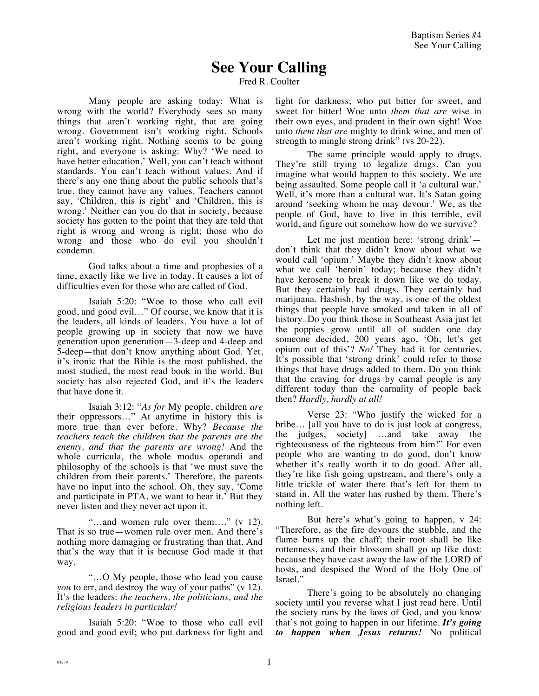## **See Your Calling**

Fred R. Coulter

Many people are asking today: What is wrong with the world? Everybody sees so many things that aren't working right, that are going wrong. Government isn't working right. Schools aren't working right. Nothing seems to be going right, and everyone is asking: Why? 'We need to have better education.' Well, you can't teach without standards. You can't teach without values. And if there's any one thing about the public schools that's true, they cannot have any values. Teachers cannot say, 'Children, this is right' and 'Children, this is wrong.' Neither can you do that in society, because society has gotten to the point that they are told that right is wrong and wrong is right; those who do wrong and those who do evil you shouldn't condemn.

God talks about a time and prophesies of a time, exactly like we live in today. It causes a lot of difficulties even for those who are called of God.

Isaiah 5:20: "Woe to those who call evil good, and good evil…" Of course, we know that it is the leaders, all kinds of leaders. You have a lot of people growing up in society that now we have generation upon generation—3-deep and 4-deep and 5-deep—that don't know anything about God. Yet, it's ironic that the Bible is the most published, the most studied, the most read book in the world. But society has also rejected God, and it's the leaders that have done it.

Isaiah 3:12: "*As for* My people, children *are*  their oppressors..." At anytime in history this is more true than ever before. Why? *Because the teachers teach the children that the parents are the enemy, and that the parents are wrong!* And the whole curricula, the whole modus operandi and philosophy of the schools is that 'we must save the children from their parents.' Therefore, the parents have no input into the school. Oh, they say, 'Come and participate in PTA, we want to hear it.' But they never listen and they never act upon it.

"…and women rule over them…." (v 12). That is so true—women rule over men. And there's nothing more damaging or frustrating than that. And that's the way that it is because God made it that way.

"…O My people, those who lead you cause *you* to err, and destroy the way of your paths" (v 12). It's the leaders: *the teachers, the politicians, and the religious leaders in particular!*

Isaiah 5:20: "Woe to those who call evil good and good evil; who put darkness for light and light for darkness; who put bitter for sweet, and sweet for bitter! Woe unto *them that are* wise in their own eyes, and prudent in their own sight! Woe unto *them that are* mighty to drink wine, and men of strength to mingle strong drink" (vs 20-22).

The same principle would apply to drugs. They're still trying to legalize drugs. Can you imagine what would happen to this society. We are being assaulted. Some people call it 'a cultural war.' Well, it's more than a cultural war. It's Satan going around 'seeking whom he may devour.' We, as the people of God, have to live in this terrible, evil world, and figure out somehow how do we survive?

Let me just mention here: 'strong drink' don't think that they didn't know about what we would call 'opium.' Maybe they didn't know about what we call 'heroin' today; because they didn't have kerosene to break it down like we do today. But they certainly had drugs. They certainly had marijuana. Hashish, by the way, is one of the oldest things that people have smoked and taken in all of history. Do you think those in Southeast Asia just let the poppies grow until all of sudden one day someone decided, 200 years ago, 'Oh, let's get opium out of this'? *No!* They had it for centuries. It's possible that 'strong drink' could refer to those things that have drugs added to them. Do you think that the craving for drugs by carnal people is any different today than the carnality of people back then? *Hardly, hardly at all!*

Verse 23: "Who justify the wicked for a bribe… [all you have to do is just look at congress, the judges, society] …and take away the righteousness of the righteous from him!" For even people who are wanting to do good, don't know whether it's really worth it to do good. After all, they're like fish going upstream, and there's only a little trickle of water there that's left for them to stand in. All the water has rushed by them. There's nothing left.

But here's what's going to happen, v 24: "Therefore, as the fire devours the stubble, and the flame burns up the chaff; their root shall be like rottenness, and their blossom shall go up like dust: because they have cast away the law of the LORD of hosts, and despised the Word of the Holy One of Israel."

There's going to be absolutely no changing society until you reverse what I just read here. Until the society runs by the laws of God, and you know that's not going to happen in our lifetime. *It's going to happen when Jesus returns!* No political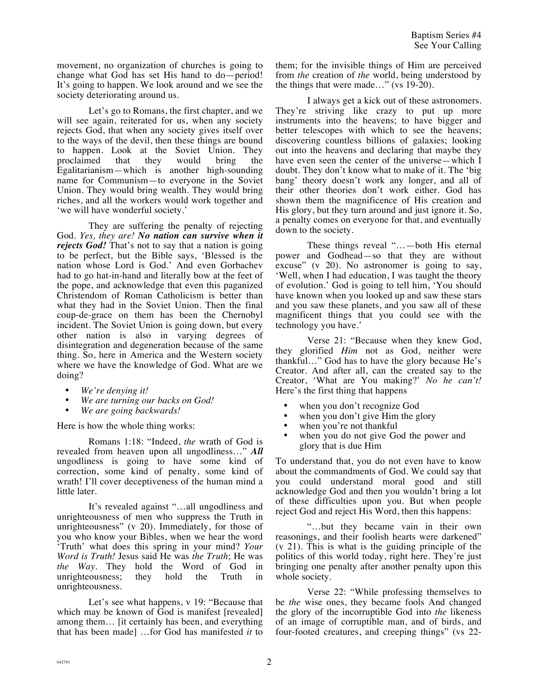movement, no organization of churches is going to change what God has set His hand to do—period! It's going to happen. We look around and we see the society deteriorating around us.

Let's go to Romans, the first chapter, and we will see again, reiterated for us, when any society rejects God, that when any society gives itself over to the ways of the devil, then these things are bound to happen. Look at the Soviet Union. They proclaimed that they would bring the Egalitarianism—which is another high-sounding name for Communism—to everyone in the Soviet Union. They would bring wealth. They would bring riches, and all the workers would work together and 'we will have wonderful society.'

They are suffering the penalty of rejecting God. *Yes, they are! No nation can survive when it rejects God!* That's not to say that a nation is going to be perfect, but the Bible says, 'Blessed is the nation whose Lord is God.' And even Gorbachev had to go hat-in-hand and literally bow at the feet of the pope, and acknowledge that even this paganized Christendom of Roman Catholicism is better than what they had in the Soviet Union. Then the final coup-de-grace on them has been the Chernobyl incident. The Soviet Union is going down, but every other nation is also in varying degrees of disintegration and degeneration because of the same thing. So, here in America and the Western society where we have the knowledge of God. What are we doing?

- *We're denying it!*
- *We are turning our backs on God!*
- *We are going backwards!*

Here is how the whole thing works:

Romans 1:18: "Indeed, *the* wrath of God is revealed from heaven upon all ungodliness…" *All* ungodliness is going to have some kind of correction, some kind of penalty, some kind of wrath! I'll cover deceptiveness of the human mind a little later.

It's revealed against "…all ungodliness and unrighteousness of men who suppress the Truth in unrighteousness" (v 20). Immediately, for those of you who know your Bibles, when we hear the word 'Truth' what does this spring in your mind? *Your Word is Truth!* Jesus said He was *the Truth*; He was *the Way*. They hold the Word of God in unrighteousness; they hold the Truth in unrighteousness.

Let's see what happens, v 19: "Because that which may be known of God is manifest [revealed] among them… [it certainly has been, and everything that has been made] …for God has manifested *it* to them; for the invisible things of Him are perceived from *the* creation of *the* world, being understood by the things that were made…" (vs 19-20).

I always get a kick out of these astronomers. They're striving like crazy to put up more instruments into the heavens; to have bigger and better telescopes with which to see the heavens; discovering countless billions of galaxies; looking out into the heavens and declaring that maybe they have even seen the center of the universe—which I doubt. They don't know what to make of it. The 'big bang' theory doesn't work any longer, and all of their other theories don't work either. God has shown them the magnificence of His creation and His glory, but they turn around and just ignore it. So, a penalty comes on everyone for that, and eventually down to the society.

These things reveal "…—both His eternal power and Godhead—so that they are without excuse" (v 20). No astronomer is going to say, 'Well, when I had education, I was taught the theory of evolution.' God is going to tell him, 'You should have known when you looked up and saw these stars and you saw these planets, and you saw all of these magnificent things that you could see with the technology you have.'

Verse 21: "Because when they knew God, they glorified *Him* not as God, neither were thankful…" God has to have the glory because He's Creator. And after all, can the created say to the Creator, 'What are You making?' *No he can't!* Here's the first thing that happens

- when you don't recognize God
- when you don't give Him the glory<br>• when you're not thankful
- when you're not thankful
- when you do not give God the power and glory that is due Him

To understand that, you do not even have to know about the commandments of God. We could say that you could understand moral good and still acknowledge God and then you wouldn't bring a lot of these difficulties upon you. But when people reject God and reject His Word, then this happens:

"…but they became vain in their own reasonings, and their foolish hearts were darkened" (v 21). This is what is the guiding principle of the politics of this world today, right here. They're just bringing one penalty after another penalty upon this whole society.

Verse 22: "While professing themselves to be *the* wise ones, they became fools And changed the glory of the incorruptible God into *the* likeness of an image of corruptible man, and of birds, and four-footed creatures, and creeping things" (vs 22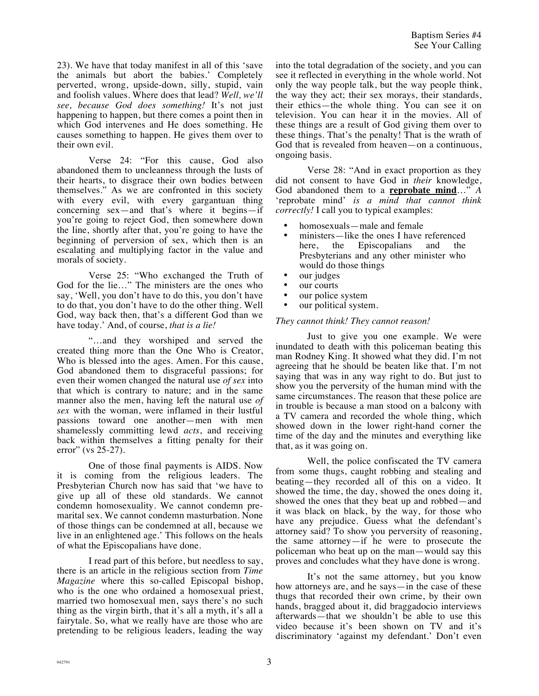23). We have that today manifest in all of this 'save the animals but abort the babies.' Completely perverted, wrong, upside-down, silly, stupid, vain and foolish values. Where does that lead? *Well, we'll see, because God does something!* It's not just happening to happen, but there comes a point then in which God intervenes and He does something. He causes something to happen. He gives them over to their own evil.

Verse 24: "For this cause, God also abandoned them to uncleanness through the lusts of their hearts, to disgrace their own bodies between themselves." As we are confronted in this society with every evil, with every gargantuan thing concerning sex—and that's where it begins—if you're going to reject God, then somewhere down the line, shortly after that, you're going to have the beginning of perversion of sex, which then is an escalating and multiplying factor in the value and morals of society.

Verse 25: "Who exchanged the Truth of God for the lie…" The ministers are the ones who say, 'Well, you don't have to do this, you don't have to do that, you don't have to do the other thing. Well God, way back then, that's a different God than we have today.' And, of course, *that is a lie!*

"…and they worshiped and served the created thing more than the One Who is Creator, Who is blessed into the ages. Amen. For this cause, God abandoned them to disgraceful passions; for even their women changed the natural use *of sex* into that which is contrary to nature; and in the same manner also the men, having left the natural use *of sex* with the woman, were inflamed in their lustful passions toward one another—men with men shamelessly committing lewd *acts*, and receiving back within themselves a fitting penalty for their error" (vs 25-27).

One of those final payments is AIDS. Now it is coming from the religious leaders. The Presbyterian Church now has said that 'we have to give up all of these old standards. We cannot condemn homosexuality. We cannot condemn premarital sex. We cannot condemn masturbation. None of those things can be condemned at all, because we live in an enlightened age.' This follows on the heals of what the Episcopalians have done.

I read part of this before, but needless to say, there is an article in the religious section from *Time Magazine* where this so-called Episcopal bishop, who is the one who ordained a homosexual priest, married two homosexual men, says there's no such thing as the virgin birth, that it's all a myth, it's all a fairytale. So, what we really have are those who are pretending to be religious leaders, leading the way into the total degradation of the society, and you can see it reflected in everything in the whole world. Not only the way people talk, but the way people think, the way they act; their sex morays, their standards, their ethics—the whole thing. You can see it on television. You can hear it in the movies. All of these things are a result of God giving them over to these things. That's the penalty! That is the wrath of God that is revealed from heaven—on a continuous, ongoing basis.

Verse 28: "And in exact proportion as they did not consent to have God in *their* knowledge, God abandoned them to a **reprobate mind**…" *A*  'reprobate mind' *is a mind that cannot think correctly!* I call you to typical examples:

- homosexuals—male and female
- ministers—like the ones I have referenced<br>here, the Episcopalians and the Episcopalians and the Presbyterians and any other minister who would do those things
- our judges
- our courts
- our police system
- our political system.

## *They cannot think! They cannot reason!*

Just to give you one example. We were inundated to death with this policeman beating this man Rodney King. It showed what they did. I'm not agreeing that he should be beaten like that. I'm not saying that was in any way right to do. But just to show you the perversity of the human mind with the same circumstances. The reason that these police are in trouble is because a man stood on a balcony with a TV camera and recorded the whole thing, which showed down in the lower right-hand corner the time of the day and the minutes and everything like that, as it was going on.

Well, the police confiscated the TV camera from some thugs, caught robbing and stealing and beating—they recorded all of this on a video. It showed the time, the day, showed the ones doing it, showed the ones that they beat up and robbed—and it was black on black, by the way, for those who have any prejudice. Guess what the defendant's attorney said? To show you perversity of reasoning, the same attorney—if he were to prosecute the policeman who beat up on the man—would say this proves and concludes what they have done is wrong.

It's not the same attorney, but you know how attorneys are, and he says—in the case of these thugs that recorded their own crime, by their own hands, bragged about it, did braggadocio interviews afterwards—that we shouldn't be able to use this video because it's been shown on TV and it's discriminatory 'against my defendant.' Don't even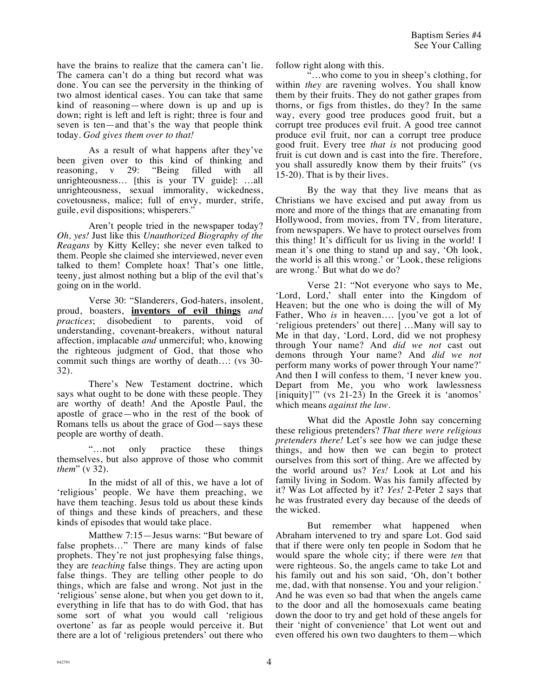have the brains to realize that the camera can't lie. The camera can't do a thing but record what was done. You can see the perversity in the thinking of two almost identical cases. You can take that same kind of reasoning—where down is up and up is down; right is left and left is right; three is four and seven is ten—and that's the way that people think today. *God gives them over to that!*

As a result of what happens after they've been given over to this kind of thinking and reasoning, v 29: "Being filled with all reasoning, v 29: "Being filled with all unrighteousness… [this is your TV guide]: …all unrighteousness, sexual immorality, wickedness, covetousness, malice; full of envy, murder, strife, guile, evil dispositions; whisperers."

Aren't people tried in the newspaper today? *Oh, yes!* Just like this *Unauthorized Biography of the Reagans* by Kitty Kelley; she never even talked to them. People she claimed she interviewed, never even talked to them! Complete hoax! That's one little, teeny, just almost nothing but a blip of the evil that's going on in the world.

Verse 30: "Slanderers, God-haters, insolent, proud, boasters, **inventors of evil things** *and*  disobedient to parents, void of understanding, covenant-breakers, without natural affection, implacable *and* unmerciful; who, knowing the righteous judgment of God, that those who commit such things are worthy of death…: (vs 30- 32).

There's New Testament doctrine, which says what ought to be done with these people. They are worthy of death! And the Apostle Paul, the apostle of grace—who in the rest of the book of Romans tells us about the grace of God—says these people are worthy of death.

"…not only practice these things themselves, but also approve of those who commit *them*" (v 32).

In the midst of all of this, we have a lot of 'religious' people. We have them preaching, we have them teaching. Jesus told us about these kinds of things and these kinds of preachers, and these kinds of episodes that would take place.

Matthew 7:15—Jesus warns: "But beware of false prophets…" There are many kinds of false prophets. They're not just prophesying false things, they are *teaching* false things. They are acting upon false things. They are telling other people to do things, which are false and wrong. Not just in the 'religious' sense alone, but when you get down to it, everything in life that has to do with God, that has some sort of what you would call 'religious overtone' as far as people would perceive it. But there are a lot of 'religious pretenders' out there who follow right along with this.

"…who come to you in sheep's clothing, for within *they* are ravening wolves. You shall know them by their fruits. They do not gather grapes from thorns, or figs from thistles, do they? In the same way, every good tree produces good fruit, but a corrupt tree produces evil fruit. A good tree cannot produce evil fruit, nor can a corrupt tree produce good fruit. Every tree *that is* not producing good fruit is cut down and is cast into the fire. Therefore, you shall assuredly know them by their fruits" (vs 15-20). That is by their lives.

By the way that they live means that as Christians we have excised and put away from us more and more of the things that are emanating from Hollywood, from movies, from TV, from literature, from newspapers. We have to protect ourselves from this thing! It's difficult for us living in the world! I mean it's one thing to stand up and say, 'Oh look, the world is all this wrong.' or 'Look, these religions are wrong.' But what do we do?

Verse 21: "Not everyone who says to Me, 'Lord, Lord,' shall enter into the Kingdom of Heaven; but the one who is doing the will of My Father, Who *is* in heaven…. [you've got a lot of 'religious pretenders' out there] …Many will say to Me in that day, 'Lord, Lord, did we not prophesy through Your name? And *did we not* cast out demons through Your name? And *did we not*  perform many works of power through Your name?' And then I will confess to them, 'I never knew you. Depart from Me, you who work lawlessness [iniquity]'" (vs 21-23) In the Greek it is 'anomos' which means *against the law.*

What did the Apostle John say concerning these religious pretenders? *That there were religious pretenders there!* Let's see how we can judge these things, and how then we can begin to protect ourselves from this sort of thing. Are we affected by the world around us? *Yes!* Look at Lot and his family living in Sodom. Was his family affected by it? Was Lot affected by it? *Yes!* 2-Peter 2 says that he was frustrated every day because of the deeds of the wicked.

But remember what happened when Abraham intervened to try and spare Lot. God said that if there were only ten people in Sodom that he would spare the whole city; if there were *ten* that were righteous. So, the angels came to take Lot and his family out and his son said, 'Oh, don't bother me, dad, with that nonsense. You and your religion.' And he was even so bad that when the angels came to the door and all the homosexuals came beating down the door to try and get hold of these angels for their 'night of convenience' that Lot went out and even offered his own two daughters to them—which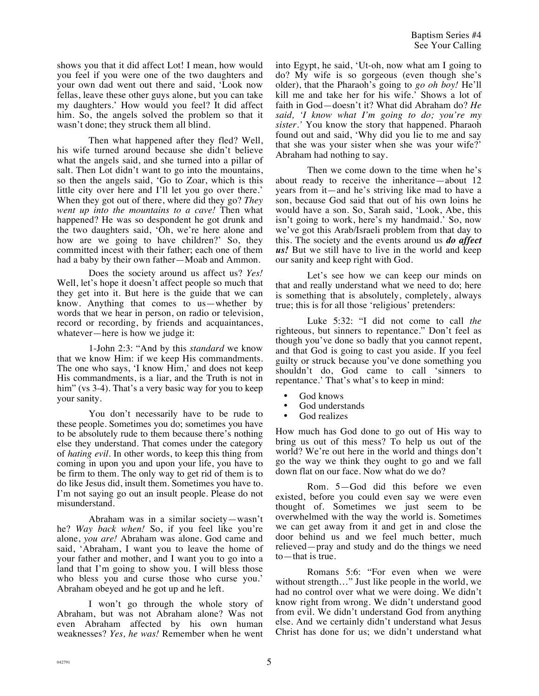shows you that it did affect Lot! I mean, how would you feel if you were one of the two daughters and your own dad went out there and said, 'Look now fellas, leave these other guys alone, but you can take my daughters.' How would you feel? It did affect him. So, the angels solved the problem so that it wasn't done; they struck them all blind.

Then what happened after they fled? Well, his wife turned around because she didn't believe what the angels said, and she turned into a pillar of salt. Then Lot didn't want to go into the mountains, so then the angels said, 'Go to Zoar, which is this little city over here and I'll let you go over there.' When they got out of there, where did they go? *They went up into the mountains to a cave!* Then what happened? He was so despondent he got drunk and the two daughters said, 'Oh, we're here alone and how are we going to have children?' So, they committed incest with their father; each one of them had a baby by their own father—Moab and Ammon.

Does the society around us affect us? *Yes!* Well, let's hope it doesn't affect people so much that they get into it. But here is the guide that we can know. Anything that comes to us—whether by words that we hear in person, on radio or television, record or recording, by friends and acquaintances, whatever—here is how we judge it:

1-John 2:3: "And by this *standard* we know that we know Him: if we keep His commandments. The one who says, 'I know Him,' and does not keep His commandments, is a liar, and the Truth is not in him" (vs 3-4). That's a very basic way for you to keep your sanity.

You don't necessarily have to be rude to these people. Sometimes you do; sometimes you have to be absolutely rude to them because there's nothing else they understand. That comes under the category of *hating evil*. In other words, to keep this thing from coming in upon you and upon your life, you have to be firm to them. The only way to get rid of them is to do like Jesus did, insult them. Sometimes you have to. I'm not saying go out an insult people. Please do not misunderstand.

Abraham was in a similar society—wasn't he? *Way back when!* So, if you feel like you're alone, *you are!* Abraham was alone. God came and said, 'Abraham, I want you to leave the home of your father and mother, and I want you to go into a land that I'm going to show you. I will bless those who bless you and curse those who curse you.' Abraham obeyed and he got up and he left.

I won't go through the whole story of Abraham, but was not Abraham alone? Was not even Abraham affected by his own human weaknesses? *Yes, he was!* Remember when he went into Egypt, he said, 'Ut-oh, now what am I going to do? My wife is so gorgeous (even though she's older), that the Pharaoh's going to *go oh boy!* He'll kill me and take her for his wife.' Shows a lot of faith in God—doesn't it? What did Abraham do? *He said, 'I know what I'm going to do; you're my sister.'* You know the story that happened. Pharaoh found out and said, 'Why did you lie to me and say that she was your sister when she was your wife?' Abraham had nothing to say.

Then we come down to the time when he's about ready to receive the inheritance—about 12 years from it—and he's striving like mad to have a son, because God said that out of his own loins he would have a son. So, Sarah said, 'Look, Abe, this isn't going to work, here's my handmaid.' So, now we've got this Arab/Israeli problem from that day to this. The society and the events around us *do affect us!* But we still have to live in the world and keep our sanity and keep right with God.

Let's see how we can keep our minds on that and really understand what we need to do; here is something that is absolutely, completely, always true; this is for all those 'religious' pretenders:

Luke 5:32: "I did not come to call *the* righteous, but sinners to repentance." Don't feel as though you've done so badly that you cannot repent, and that God is going to cast you aside. If you feel guilty or struck because you've done something you shouldn't do, God came to call 'sinners to repentance.' That's what's to keep in mind:

- God knows
- God understands
- God realizes

How much has God done to go out of His way to bring us out of this mess? To help us out of the world? We're out here in the world and things don't go the way we think they ought to go and we fall down flat on our face. Now what do we do?

Rom. 5—God did this before we even existed, before you could even say we were even thought of. Sometimes we just seem to be overwhelmed with the way the world is. Sometimes we can get away from it and get in and close the door behind us and we feel much better, much relieved—pray and study and do the things we need to—that is true.

Romans 5:6: "For even when we were without strength…" Just like people in the world, we had no control over what we were doing. We didn't know right from wrong. We didn't understand good from evil. We didn't understand God from anything else. And we certainly didn't understand what Jesus Christ has done for us; we didn't understand what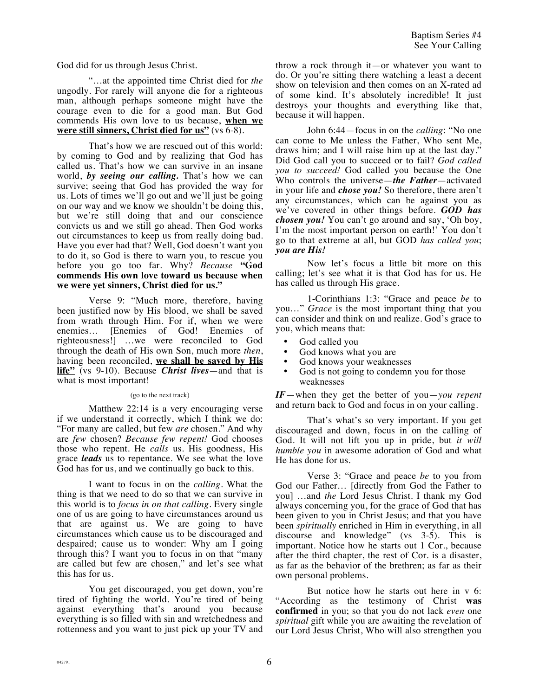God did for us through Jesus Christ.

"…at the appointed time Christ died for *the* ungodly. For rarely will anyone die for a righteous man, although perhaps someone might have the courage even to die for a good man. But God commends His own love to us because, **when we were still sinners, Christ died for us"** (vs 6-8).

That's how we are rescued out of this world: by coming to God and by realizing that God has called us. That's how we can survive in an insane world, *by seeing our calling.* That's how we can survive; seeing that God has provided the way for us. Lots of times we'll go out and we'll just be going on our way and we know we shouldn't be doing this, but we're still doing that and our conscience convicts us and we still go ahead. Then God works out circumstances to keep us from really doing bad. Have you ever had that? Well, God doesn't want you to do it, so God is there to warn you, to rescue you before you go too far. Why? *Because* **"God commends His own love toward us because when we were yet sinners, Christ died for us."** 

Verse 9: "Much more, therefore, having been justified now by His blood, we shall be saved from wrath through Him. For if, when we were enemies… [Enemies of God! Enemies of righteousness!] …we were reconciled to God through the death of His own Son, much more *then*, having been reconciled, **we shall be saved by His life"** (vs 9-10). Because *Christ lives*—and that is what is most important!

## (go to the next track)

Matthew 22:14 is a very encouraging verse if we understand it correctly, which I think we do: "For many are called, but few *are* chosen." And why are *few* chosen? *Because few repent!* God chooses those who repent. He *calls* us. His goodness, His grace *leads* us to repentance. We see what the love God has for us, and we continually go back to this.

I want to focus in on the *calling*. What the thing is that we need to do so that we can survive in this world is to *focus in on that calling*. Every single one of us are going to have circumstances around us that are against us. We are going to have circumstances which cause us to be discouraged and despaired; cause us to wonder: Why am I going through this? I want you to focus in on that "many are called but few are chosen," and let's see what this has for us.

You get discouraged, you get down, you're tired of fighting the world. You're tired of being against everything that's around you because everything is so filled with sin and wretchedness and rottenness and you want to just pick up your TV and throw a rock through it—or whatever you want to do. Or you're sitting there watching a least a decent show on television and then comes on an X-rated ad of some kind. It's absolutely incredible! It just destroys your thoughts and everything like that, because it will happen.

John 6:44—focus in on the *calling*: "No one can come to Me unless the Father, Who sent Me, draws him; and I will raise him up at the last day." Did God call you to succeed or to fail? *God called you to succeed!* God called you because the One Who controls the universe—*the Father*—activated in your life and *chose you!* So therefore, there aren't any circumstances, which can be against you as we've covered in other things before. *GOD has chosen you!* You can't go around and say, 'Oh boy, I'm the most important person on earth!' You don't go to that extreme at all, but GOD *has called you*; *you are His!*

Now let's focus a little bit more on this calling; let's see what it is that God has for us. He has called us through His grace.

1-Corinthians 1:3: "Grace and peace *be* to you…" *Grace* is the most important thing that you can consider and think on and realize. God's grace to you, which means that:

- God called you
- God knows what you are
- God knows your weaknesses
- God is not going to condemn you for those weaknesses

*IF*—when they get the better of you—*you repent* and return back to God and focus in on your calling.

That's what's so very important. If you get discouraged and down, focus in on the calling of God. It will not lift you up in pride, but *it will humble you* in awesome adoration of God and what He has done for us.

Verse 3: "Grace and peace *be* to you from God our Father… [directly from God the Father to you] …and *the* Lord Jesus Christ. I thank my God always concerning you, for the grace of God that has been given to you in Christ Jesus; and that you have been *spiritually* enriched in Him in everything, in all discourse and knowledge" (vs 3-5). This is important. Notice how he starts out 1 Cor., because after the third chapter, the rest of Cor. is a disaster, as far as the behavior of the brethren; as far as their own personal problems.

But notice how he starts out here in v 6: "According as the testimony of Christ **was confirmed** in you; so that you do not lack *even* one *spiritual* gift while you are awaiting the revelation of our Lord Jesus Christ, Who will also strengthen you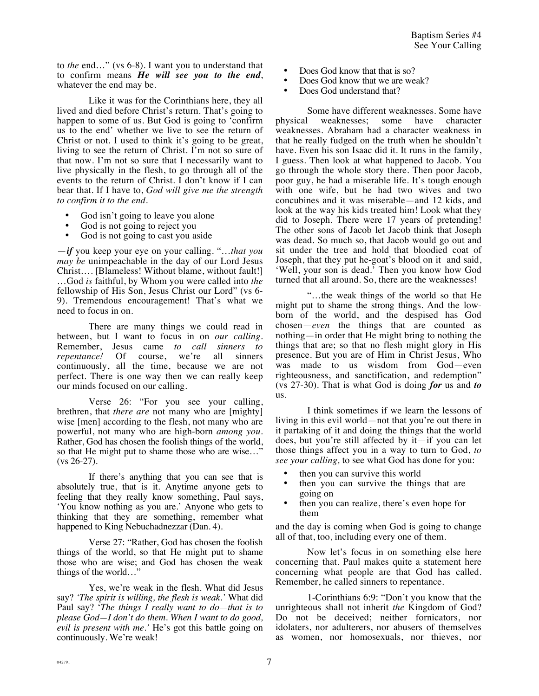to *the* end…" (vs 6-8). I want you to understand that to confirm means *He will see you to the end*, whatever the end may be.

Like it was for the Corinthians here, they all lived and died before Christ's return. That's going to happen to some of us. But God is going to 'confirm us to the end' whether we live to see the return of Christ or not. I used to think it's going to be great, living to see the return of Christ. I'm not so sure of that now. I'm not so sure that I necessarily want to live physically in the flesh, to go through all of the events to the return of Christ. I don't know if I can bear that. If I have to, *God will give me the strength to confirm it to the end.*

- God isn't going to leave you alone
- God is not going to reject you
- God is not going to cast you aside

—*if* you keep your eye on your calling. "…*that you may be* unimpeachable in the day of our Lord Jesus Christ…. [Blameless! Without blame, without fault!] …God *is* faithful, by Whom you were called into *the* fellowship of His Son, Jesus Christ our Lord" (vs 6- 9). Tremendous encouragement! That's what we need to focus in on.

There are many things we could read in between, but I want to focus in on *our calling*. Remember, Jesus came *to call sinners to repentance!* Of course, we're all sinners continuously, all the time, because we are not perfect. There is one way then we can really keep our minds focused on our calling.

Verse 26: "For you see your calling, brethren, that *there are* not many who are [mighty] wise [men] according to the flesh, not many who are powerful, not many who are high-born *among you*. Rather, God has chosen the foolish things of the world, so that He might put to shame those who are wise…" (vs 26-27).

If there's anything that you can see that is absolutely true, that is it. Anytime anyone gets to feeling that they really know something, Paul says, 'You know nothing as you are.' Anyone who gets to thinking that they are something, remember what happened to King Nebuchadnezzar (Dan. 4).

Verse 27: "Rather, God has chosen the foolish things of the world, so that He might put to shame those who are wise; and God has chosen the weak things of the world…"

Yes, we're weak in the flesh. What did Jesus say? *'The spirit is willing, the flesh is weak.'* What did Paul say? '*The things I really want to do—that is to please God—I don't do them. When I want to do good, evil is present with me.'* He's got this battle going on continuously. We're weak!

- Does God know that that is so?
- Does God know that we are weak?
- Does God understand that?

Some have different weaknesses. Some have<br>physical weaknesses; some have character weaknesses; some have character weaknesses. Abraham had a character weakness in that he really fudged on the truth when he shouldn't have. Even his son Isaac did it. It runs in the family, I guess. Then look at what happened to Jacob. You go through the whole story there. Then poor Jacob, poor guy, he had a miserable life. It's tough enough with one wife, but he had two wives and two concubines and it was miserable—and 12 kids, and look at the way his kids treated him! Look what they did to Joseph. There were 17 years of pretending! The other sons of Jacob let Jacob think that Joseph was dead. So much so, that Jacob would go out and sit under the tree and hold that bloodied coat of Joseph, that they put he-goat's blood on it and said, 'Well, your son is dead.' Then you know how God turned that all around. So, there are the weaknesses!

"…the weak things of the world so that He might put to shame the strong things. And the lowborn of the world, and the despised has God chosen—*even* the things that are counted as nothing—in order that He might bring to nothing the things that are; so that no flesh might glory in His presence. But you are of Him in Christ Jesus, Who was made to us wisdom from God—even righteousness, and sanctification, and redemption" (vs 27-30). That is what God is doing *for* us and *to* us.

I think sometimes if we learn the lessons of living in this evil world—not that you're out there in it partaking of it and doing the things that the world does, but you're still affected by it—if you can let those things affect you in a way to turn to God, *to see your calling,* to see what God has done for you:

- then you can survive this world
- then you can survive the things that are going on
- then you can realize, there's even hope for them

and the day is coming when God is going to change all of that, too, including every one of them.

Now let's focus in on something else here concerning that. Paul makes quite a statement here concerning what people are that God has called. Remember, he called sinners to repentance.

1-Corinthians 6:9: "Don't you know that the unrighteous shall not inherit *the* Kingdom of God? Do not be deceived; neither fornicators, nor idolaters, nor adulterers, nor abusers of themselves as women, nor homosexuals, nor thieves, nor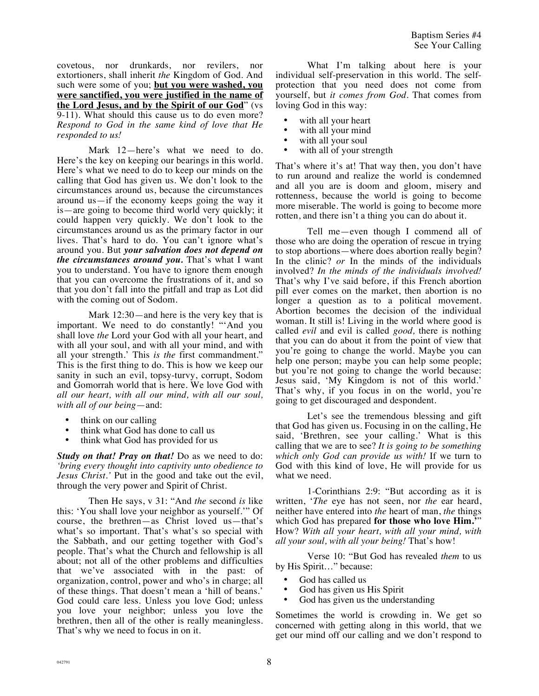covetous, nor drunkards, nor revilers, nor extortioners, shall inherit *the* Kingdom of God. And such were some of you; **but you were washed, you were sanctified, you were justified in the name of the Lord Jesus, and by the Spirit of our God**" (vs 9-11). What should this cause us to do even more? *Respond to God in the same kind of love that He responded to us!*

Mark 12—here's what we need to do. Here's the key on keeping our bearings in this world. Here's what we need to do to keep our minds on the calling that God has given us. We don't look to the circumstances around us, because the circumstances around us—if the economy keeps going the way it is—are going to become third world very quickly; it could happen very quickly. We don't look to the circumstances around us as the primary factor in our lives. That's hard to do. You can't ignore what's around you. But *your salvation does not depend on the circumstances around you.* That's what I want you to understand. You have to ignore them enough that you can overcome the frustrations of it, and so that you don't fall into the pitfall and trap as Lot did with the coming out of Sodom.

Mark 12:30—and here is the very key that is important. We need to do constantly! "'And you shall love *the* Lord your God with all your heart, and with all your soul, and with all your mind, and with all your strength.' This *is the* first commandment." This is the first thing to do. This is how we keep our sanity in such an evil, topsy-turvy, corrupt, Sodom and Gomorrah world that is here. We love God with *all our heart, with all our mind, with all our soul, with all of our being*—and:

- think on our calling
- think what God has done to call us
- think what God has provided for us

*Study on that! Pray on that!* Do as we need to do: *'bring every thought into captivity unto obedience to Jesus Christ.'* Put in the good and take out the evil, through the very power and Spirit of Christ.

Then He says, v 31: "And *the* second *is* like this: 'You shall love your neighbor as yourself.'" Of course, the brethren—as Christ loved us—that's what's so important. That's what's so special with the Sabbath, and our getting together with God's people. That's what the Church and fellowship is all about; not all of the other problems and difficulties that we've associated with in the past: of organization, control, power and who's in charge; all of these things. That doesn't mean a 'hill of beans.' God could care less. Unless you love God; unless you love your neighbor; unless you love the brethren, then all of the other is really meaningless. That's why we need to focus in on it.

What I'm talking about here is your individual self-preservation in this world. The selfprotection that you need does not come from yourself, but *it comes from God.* That comes from loving God in this way:

- with all your heart
- with all your mind
- with all your soul
- with all of your strength

That's where it's at! That way then, you don't have to run around and realize the world is condemned and all you are is doom and gloom, misery and rottenness, because the world is going to become more miserable. The world is going to become more rotten, and there isn't a thing you can do about it.

Tell me—even though I commend all of those who are doing the operation of rescue in trying to stop abortions—where does abortion really begin? In the clinic? *or* In the minds of the individuals involved? *In the minds of the individuals involved!* That's why I've said before, if this French abortion pill ever comes on the market, then abortion is no longer a question as to a political movement. Abortion becomes the decision of the individual woman. It still is! Living in the world where good is called *evil* and evil is called *good,* there is nothing that you can do about it from the point of view that you're going to change the world. Maybe you can help one person; maybe you can help some people; but you're not going to change the world because: Jesus said, 'My Kingdom is not of this world.' That's why, if you focus in on the world, you're going to get discouraged and despondent.

Let's see the tremendous blessing and gift that God has given us. Focusing in on the calling, He said, 'Brethren, see your calling.' What is this calling that we are to see? *It is going to be something which only God can provide us with!* If we turn to God with this kind of love, He will provide for us what we need.

1-Corinthians 2:9: "But according as it is written, '*The* eye has not seen, nor *the* ear heard, neither have entered into *the* heart of man, *the* things which God has prepared **for those who love Him.'**" How? *With all your heart, with all your mind, with all your soul, with all your being!* That's how!

Verse 10: "But God has revealed *them* to us by His Spirit…" because:

- God has called us
- God has given us His Spirit
- God has given us the understanding

Sometimes the world is crowding in. We get so concerned with getting along in this world, that we get our mind off our calling and we don't respond to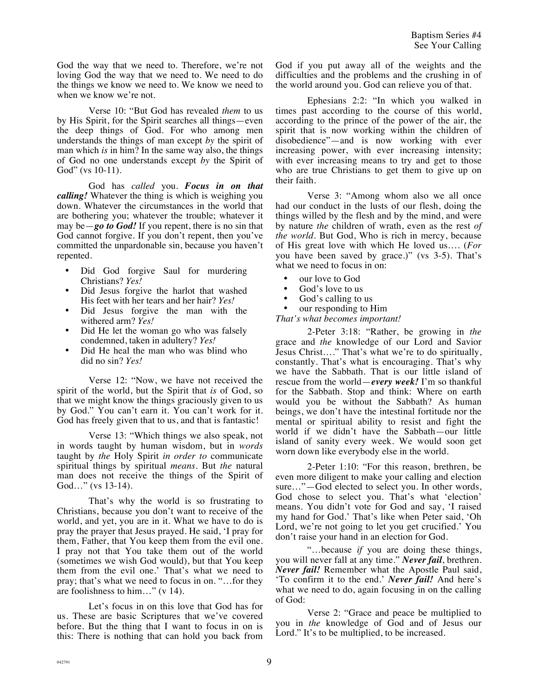God the way that we need to. Therefore, we're not loving God the way that we need to. We need to do the things we know we need to. We know we need to when we know we're not.

Verse 10: "But God has revealed *them* to us by His Spirit, for the Spirit searches all things—even the deep things of God. For who among men understands the things of man except *by* the spirit of man which *is* in him? In the same way also, the things of God no one understands except *by* the Spirit of God" (vs 10-11).

God has *called* you. *Focus in on that calling!* Whatever the thing is which is weighing you down. Whatever the circumstances in the world that are bothering you; whatever the trouble; whatever it may be—*go to God!* If you repent, there is no sin that God cannot forgive. If you don't repent, then you've committed the unpardonable sin, because you haven't repented.

- Did God forgive Saul for murdering Christians? *Yes!*
- Did Jesus forgive the harlot that washed His feet with her tears and her hair? *Yes!*
- Did Jesus forgive the man with the withered arm? *Yes!*
- Did He let the woman go who was falsely condemned, taken in adultery? *Yes!*
- Did He heal the man who was blind who did no sin? *Yes!*

Verse 12: "Now, we have not received the spirit of the world, but the Spirit that *is* of God, so that we might know the things graciously given to us by God." You can't earn it. You can't work for it. God has freely given that to us, and that is fantastic!

Verse 13: "Which things we also speak, not in words taught by human wisdom, but in *words*  taught by *the* Holy Spirit *in order to* communicate spiritual things by spiritual *means*. But *the* natural man does not receive the things of the Spirit of God…" (vs 13-14).

That's why the world is so frustrating to Christians, because you don't want to receive of the world, and yet, you are in it. What we have to do is pray the prayer that Jesus prayed. He said, 'I pray for them, Father, that You keep them from the evil one. I pray not that You take them out of the world (sometimes we wish God would), but that You keep them from the evil one.' That's what we need to pray; that's what we need to focus in on. "…for they are foolishness to him…" (v 14).

Let's focus in on this love that God has for us. These are basic Scriptures that we've covered before. But the thing that I want to focus in on is this: There is nothing that can hold you back from God if you put away all of the weights and the difficulties and the problems and the crushing in of the world around you. God can relieve you of that.

Ephesians 2:2: "In which you walked in times past according to the course of this world, according to the prince of the power of the air, the spirit that is now working within the children of disobedience"—and is now working with ever increasing power, with ever increasing intensity; with ever increasing means to try and get to those who are true Christians to get them to give up on their faith.

Verse 3: "Among whom also we all once had our conduct in the lusts of our flesh, doing the things willed by the flesh and by the mind, and were by nature *the* children of wrath, even as the rest *of the world*. But God, Who is rich in mercy, because of His great love with which He loved us…. (*For*  you have been saved by grace.)" (vs 3-5). That's what we need to focus in on:

- our love to God
- God's love to us
- God's calling to us<br>• our responding to F
- our responding to Him

*That's what becomes important!*

2-Peter 3:18: "Rather, be growing in *the* grace and *the* knowledge of our Lord and Savior Jesus Christ…." That's what we're to do spiritually, constantly. That's what is encouraging. That's why we have the Sabbath. That is our little island of rescue from the world—*every week!* I'm so thankful for the Sabbath. Stop and think: Where on earth would you be without the Sabbath? As human beings, we don't have the intestinal fortitude nor the mental or spiritual ability to resist and fight the world if we didn't have the Sabbath—our little island of sanity every week. We would soon get worn down like everybody else in the world.

2-Peter 1:10: "For this reason, brethren, be even more diligent to make your calling and election sure..."—God elected to select you. In other words, God chose to select you. That's what 'election' means. You didn't vote for God and say, 'I raised my hand for God.' That's like when Peter said, 'Oh Lord, we're not going to let you get crucified.' You don't raise your hand in an election for God.

"…because *if* you are doing these things, you will never fall at any time." *Never fail*, brethren. *Never fail!* Remember what the Apostle Paul said, 'To confirm it to the end.' *Never fail!* And here's what we need to do, again focusing in on the calling of God:

Verse 2: "Grace and peace be multiplied to you in *the* knowledge of God and of Jesus our Lord." It's to be multiplied, to be increased.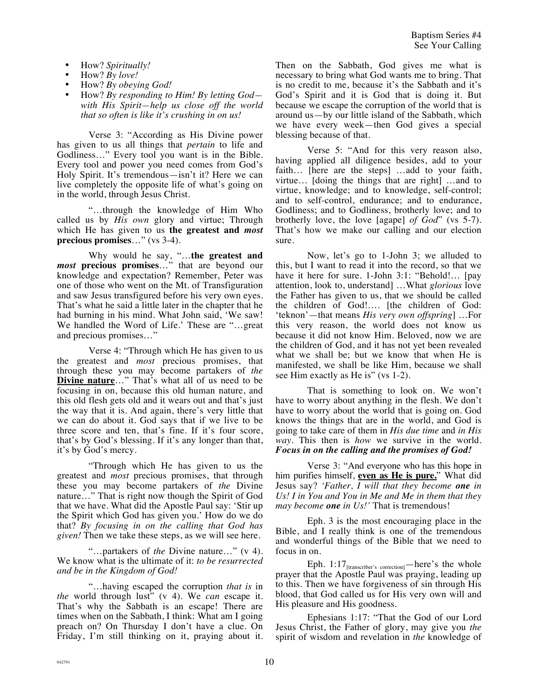- How? *Spiritually!*
- How? *By love!*
- How? *By obeying God!*
- How? *By responding to Him! By letting God with His Spirit—help us close off the world that so often is like it's crushing in on us!*

Verse 3: "According as His Divine power has given to us all things that *pertain* to life and Godliness…" Every tool you want is in the Bible. Every tool and power you need comes from God's Holy Spirit. It's tremendous—isn't it? Here we can live completely the opposite life of what's going on in the world, through Jesus Christ.

"…through the knowledge of Him Who called us by *His own* glory and virtue; Through which He has given to us **the greatest and** *most* **precious promises**…" (vs 3-4).

Why would he say, "…**the greatest and**  *most* **precious promises**…" that are beyond our knowledge and expectation? Remember, Peter was one of those who went on the Mt. of Transfiguration and saw Jesus transfigured before his very own eyes. That's what he said a little later in the chapter that he had burning in his mind. What John said, 'We saw! We handled the Word of Life.' These are "…great and precious promises…"

Verse 4: "Through which He has given to us the greatest and *most* precious promises, that through these you may become partakers of *the* **Divine nature**…" That's what all of us need to be focusing in on, because this old human nature, and this old flesh gets old and it wears out and that's just the way that it is. And again, there's very little that we can do about it. God says that if we live to be three score and ten, that's fine. If it's four score, that's by God's blessing. If it's any longer than that, it's by God's mercy.

"Through which He has given to us the greatest and *most* precious promises, that through these you may become partakers of *the* Divine nature…" That is right now though the Spirit of God that we have. What did the Apostle Paul say: 'Stir up the Spirit which God has given you.' How do we do that? *By focusing in on the calling that God has given!* Then we take these steps, as we will see here.

"…partakers of *the* Divine nature…" (v 4). We know what is the ultimate of it: *to be resurrected and be in the Kingdom of God!*

"…having escaped the corruption *that is* in *the* world through lust" (v 4). We *can* escape it. That's why the Sabbath is an escape! There are times when on the Sabbath, I think: What am I going preach on? On Thursday I don't have a clue. On Friday, I'm still thinking on it, praying about it. Then on the Sabbath, God gives me what is necessary to bring what God wants me to bring. That is no credit to me, because it's the Sabbath and it's God's Spirit and it is God that is doing it. But because we escape the corruption of the world that is around us—by our little island of the Sabbath, which we have every week—then God gives a special blessing because of that.

Verse 5: "And for this very reason also, having applied all diligence besides, add to your faith… [here are the steps] …add to your faith, virtue… [doing the things that are right] …and to virtue, knowledge; and to knowledge, self-control; and to self-control, endurance; and to endurance, Godliness; and to Godliness, brotherly love; and to brotherly love, the love [agape] *of God*" (vs 5-7). That's how we make our calling and our election sure.

Now, let's go to 1-John 3; we alluded to this, but I want to read it into the record, so that we have it here for sure. 1-John 3:1: "Behold!... [pay attention, look to, understand] …What *glorious* love the Father has given to us, that we should be called the children of God!…. [the children of God: 'teknon'—that means *His very own offspring*] …For this very reason, the world does not know us because it did not know Him. Beloved, now we are the children of God, and it has not yet been revealed what we shall be; but we know that when He is manifested, we shall be like Him, because we shall see Him exactly as He is" (vs 1-2).

That is something to look on. We won't have to worry about anything in the flesh. We don't have to worry about the world that is going on. God knows the things that are in the world, and God is going to take care of them in *His due time* and *in His way*. This then is *how* we survive in the world. *Focus in on the calling and the promises of God!*

Verse 3: "And everyone who has this hope in him purifies himself, **even as He is pure.**" What did Jesus say? *'Father, I will that they become one in Us! I in You and You in Me and Me in them that they may become one in Us!'* That is tremendous!

Eph. 3 is the most encouraging place in the Bible, and I really think is one of the tremendous and wonderful things of the Bible that we need to focus in on.

Eph. 1:17<sub>[transcriber's correction]</sub>—here's the whole prayer that the Apostle Paul was praying, leading up to this. Then we have forgiveness of sin through His blood, that God called us for His very own will and His pleasure and His goodness.

Ephesians 1:17: "That the God of our Lord Jesus Christ, the Father of glory, may give you *the* spirit of wisdom and revelation in *the* knowledge of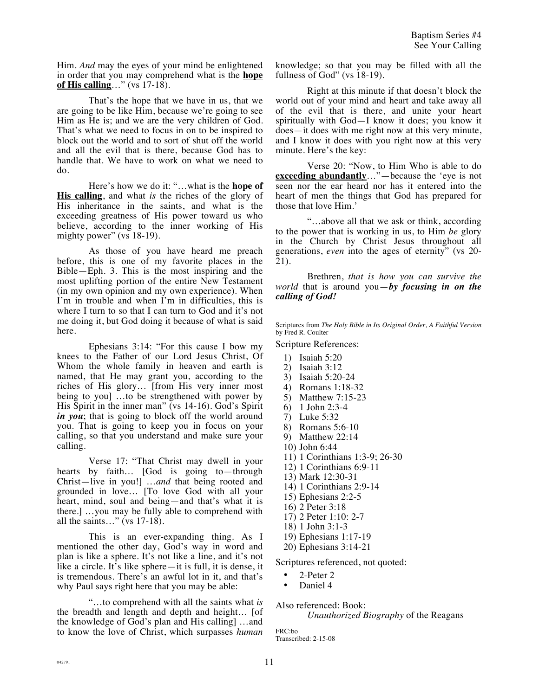Him. *And* may the eyes of your mind be enlightened in order that you may comprehend what is the **hope of His calling**…" (vs 17-18).

That's the hope that we have in us, that we are going to be like Him, because we're going to see Him as He is; and we are the very children of God. That's what we need to focus in on to be inspired to block out the world and to sort of shut off the world and all the evil that is there, because God has to handle that. We have to work on what we need to do.

Here's how we do it: "…what is the **hope of His calling**, and what *is* the riches of the glory of His inheritance in the saints, and what is the exceeding greatness of His power toward us who believe, according to the inner working of His mighty power" (vs 18-19).

As those of you have heard me preach before, this is one of my favorite places in the Bible—Eph. 3. This is the most inspiring and the most uplifting portion of the entire New Testament (in my own opinion and my own experience). When I'm in trouble and when I'm in difficulties, this is where I turn to so that I can turn to God and it's not me doing it, but God doing it because of what is said here.

Ephesians 3:14: "For this cause I bow my knees to the Father of our Lord Jesus Christ, Of Whom the whole family in heaven and earth is named, that He may grant you, according to the riches of His glory… [from His very inner most being to you] …to be strengthened with power by His Spirit in the inner man" (vs 14-16). God's Spirit *in you*; that is going to block off the world around you. That is going to keep you in focus on your calling, so that you understand and make sure your calling.

Verse 17: "That Christ may dwell in your hearts by faith… [God is going to—through Christ—live in you!] …*and* that being rooted and grounded in love… [To love God with all your heart, mind, soul and being—and that's what it is there.] …you may be fully able to comprehend with all the saints…" (vs 17-18).

This is an ever-expanding thing. As I mentioned the other day, God's way in word and plan is like a sphere. It's not like a line, and it's not like a circle. It's like sphere—it is full, it is dense, it is tremendous. There's an awful lot in it, and that's why Paul says right here that you may be able:

"…to comprehend with all the saints what *is* the breadth and length and depth and height… [of the knowledge of God's plan and His calling] …and to know the love of Christ, which surpasses *human* knowledge; so that you may be filled with all the fullness of God" (vs 18-19).

Right at this minute if that doesn't block the world out of your mind and heart and take away all of the evil that is there, and unite your heart spiritually with God—I know it does; you know it does—it does with me right now at this very minute, and I know it does with you right now at this very minute. Here's the key:

Verse 20: "Now, to Him Who is able to do **<u>exceeding abundantly</u>**…"—because the 'eye is not seen nor the ear heard nor has it entered into the heart of men the things that God has prepared for those that love Him.'

"…above all that we ask or think, according to the power that is working in us, to Him *be* glory in the Church by Christ Jesus throughout all generations, *even* into the ages of eternity" (vs 20- 21).

Brethren, *that is how you can survive the world* that is around you—*by focusing in on the calling of God!*

Scriptures from *The Holy Bible in Its Original Order, A Faithful Version*  by Fred R. Coulter

Scripture References:

- 1) Isaiah 5:20
- 2) Isaiah 3:12
- 3) Isaiah 5:20-24
- 4) Romans 1:18-32
- 5) Matthew 7:15-23
- 6) 1 John 2:3-4
- 7) Luke 5:32
- 8) Romans 5:6-10
- 9) Matthew 22:14
- 10) John 6:44
- 11) 1 Corinthians 1:3-9; 26-30
- 12) 1 Corinthians 6:9-11
- 13) Mark 12:30-31
- 14) 1 Corinthians 2:9-14
- 15) Ephesians 2:2-5
- 16) 2 Peter 3:18
- 17) 2 Peter 1:10: 2-7
- 18) 1 John 3:1-3
- 19) Ephesians 1:17-19
- 20) Ephesians 3:14-21

Scriptures referenced, not quoted:

- 2-Peter 2
- Daniel 4

Also referenced: Book:

*Unauthorized Biography* of the Reagans

FRC:bo Transcribed: 2-15-08